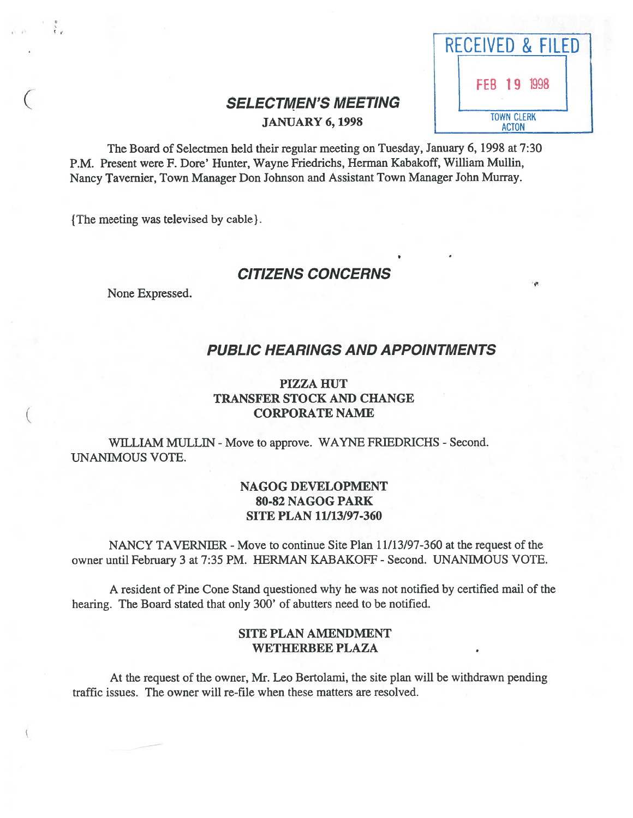|                                               | RECEIVED & FILED                  |
|-----------------------------------------------|-----------------------------------|
|                                               | FEB 19 1998                       |
| SELECTMEN'S MEETING<br><b>JANUARY 6, 1998</b> | <b>TOWN CLERK</b><br><b>ACTON</b> |

# **JANUARY 6, 1998**

The Board of Selectmen held their regular meeting on Tuesday, January 6, 1998 at 7:30 P.M. Present were F. Dore' Hunter, Wayne Friedrichs, Herman Kabakoff, William Mullin, Nancy Tavemier, Town Manager Don Johnson and Assistant Town Manager John Murray.

{ The meeting was televised by cable }.

## CITIZENS CONCERNS

None Expressed.

## PUBLIC HEARINGS AND APPOINTMENTS

## PIZZA HUT TRANSFER STOCK AND CHANGE ( CORPORATE NAME

WILLIAM MULLIN - Move to approve. WAYNE FRIEDRICHS - Second. UNANIMOUS VOTE.

## NAGOG DEVELOPMENT 80-82 NAGOG PARK SITE PLAN 11/13/97-360

NANCY TAVERNIER - Move to continue Site Plan 11/13/97-360 at the request of the owner until February 3 at 7:35 PM. HERMAN KABAKOFF - Second. UNANIMOUS VOTE.

A resident of Pine Cone Stand questioned why he was not notified by certified mail of the hearing. The Board stated that only 300' of abutters need to be notified.

## SITE PLAN AMENDMENT WETHERBEE PLAZA

At the reques<sup>t</sup> of the owner, Mr. Leo Bertolami, the site plan will be withdrawn pending traffic issues. The owner will re-file when these matters are resolved.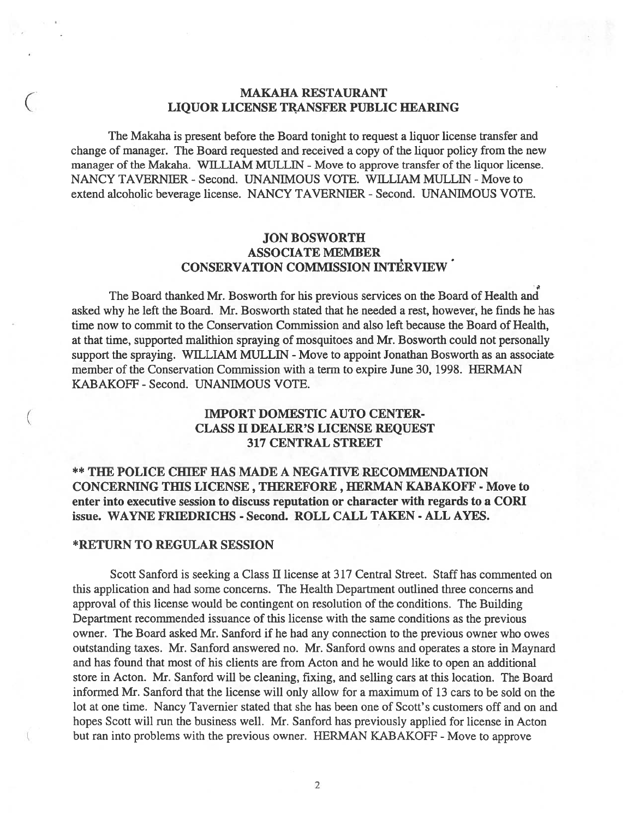## MAKAHA RESTAURANT LIQUOR LICENSE TRANSFER PUBLIC HEARING

The Makaha is presen<sup>t</sup> before the Board tonight to reques<sup>t</sup> <sup>a</sup> liquor license transfer and change of manager. The Board requested and received <sup>a</sup> copy of the liquor policy from the new manager of the Makaha. WILLIAM MULLIN - Move to approve transfer of the liquor license. NANCY TAVERNIER - Second. UNANIMOUS VOTE. WILLIAM MULLIN - Move to extend alcoholic beverage license. NANCY TAVERNIER -Second. UNANIMOUS VOTE.

## JON BOSWORTH ASSOCIATE MEMBER CONSERVATION COMMISSION INTERVIEW

The Board thanked Mr. Bosworth for his previous services on the Board of Health and asked why he left the Board. Mr. Bosworth stated that he needed <sup>a</sup> rest, however, he finds he has time now to commit to the Conservation Commission and also left because the Board of Health, at that time, supported malithion spraying of mosquitoes and Mr. Bosworth could not personally support the spraying. WILLIAM MULLIN - Move to appoint Jonathan Bosworth as an associate member of the Conservation Commission with <sup>a</sup> term to expire June 30, 1998. HERMAN KABAKOFF - Second. UNANIMOUS VOTE.

# ( IMPORT DOMESTIC AUTO CENTER- CLASS II DEALER'S LICENSE REQUEST 317 CENTRAL STREET

## \*\* THE POLICE CHIEF HAS MADE A NEGATIVE RECOMMENDATION CONCERNING THIS LICENSE , THEREFORE, HERMAN KABAKOFF - Move to enter into executive session to discuss reputation or character with regards to <sup>a</sup> CORI issue. WAYNE FRIEDRICHS - Second. ROLL CALL TAKEN - ALL AYES.

#### \*RETURN TO REGULAR SESSION

Scott Sanford is seeking <sup>a</sup> Class II license at 317 Central Street. Staff has commented on this application and had some concerns. The Health Department outlined three concerns and approval of this license would be contingent on resolution of the conditions. The Building Department recommended issuance of this license with the same conditions as the previous owner. The Board asked Mr. Sanford if he had any connection to the previous owner who owes outstanding taxes. Mr. Sanford answered no. Mr. Sanford owns and operates <sup>a</sup> store in Maynard and has found that most of his clients are from Acton and he would like to open an additional store in Acton. Mr. Sanford will be cleaning, fixing, and selling cars at this location. The Board informed Mr. Sanford that the license will only allow for <sup>a</sup> maximum of 13 cars to be sold on the lot at one time. Nancy Tavernier stated that she has been one of Scott's customers off and on and hopes Scott will run the business well. Mr. Sanford has previously applied for license in Acton but ran into problems with the previous owner. HERMAN KABAKOFF - Move to approve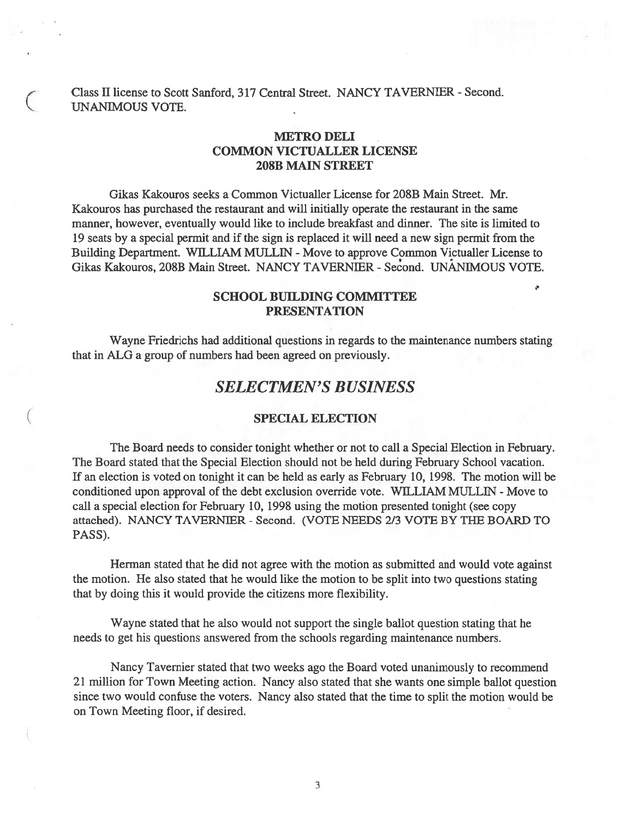Class II license to Scott Sanford, 317 Central Street. NANCY TAVERNIER -Second. UNANIMOUS VOTE.

## METRO DELI COMMON VICTUALLER LICENSE 208B MAIN STREET

Gikas Kakouros seeks <sup>a</sup> Common Victualler License for 208B Main Street. Mr. Kakouros has purchased the restaurant and will initially operate the restaurant in the same manner, however, eventually would like to include breakfast and dinner. The site is limited to 19 seats by <sup>a</sup> special permit and if the sign is replaced it will need <sup>a</sup> new sign permit from the Building Department. WILLIAM MULLIN - Move to approve Common Victualler License to Gikas Kakouros, 208B Main Street. NANCY TAVERNIER -Second. UNANIMOUS VOTE.

## SCHOOL BUILDING COMMITTEE PRESENTATION

s

Wayne Friedrichs had additional questions in regards to the maintenance numbers stating that in ALG <sup>a</sup> group of numbers had been agreed on previously.

## SELECTMEN'S BUSINESS

#### SPECIAL ELECTION

The Board needs to consider tonight whether or not to call <sup>a</sup> Special Election in February. The Board stated that the Special Election should not be held during February School vacation. If an election is voted on tonight it can be held as early as February 10, 1998. The motion will be conditioned upon approval of the debt exclusion override vote. WILLIAM MULLIN - Move to call <sup>a</sup> special election for February 10, 1998 using the motion presented tonight (see copy attached). NANCY TAVERNIER - Second. (VOTE NEEDS 2/3 VOTE BY THE BOARD TO PASS).

Herman stated that he did not agree with the motion as submitted and would vote against the motion. He also stated that he would like the motion to be split into two questions stating that by doing this it would provide the citizens more flexibility.

Wayne stated that he also would not suppor<sup>t</sup> the single ballot question stating that he needs to ge<sup>t</sup> his questions answered from the schools regarding maintenance numbers.

Nancy Tavernier stated that two weeks ago the Board voted unanimously to recommend 21 million for Town Meeting action. Nancy also stated that she wants one simple ballot question since two would confuse the voters. Nancy also stated that the time to split the motion would be on Town Meeting floor, if desired.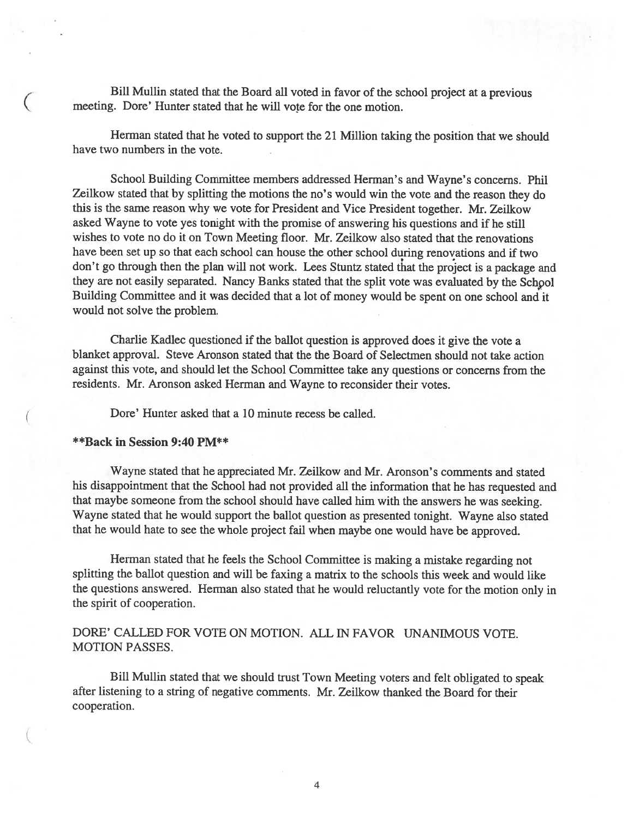Bill Mullin stated that the Board all voted in favor of the school project at <sup>a</sup> previous meeting. Dore' Hunter stated that he will vote for the one motion.

Herman stated that he voted to suppor<sup>t</sup> the <sup>21</sup> Million taking the position that we should have two numbers in the vote.

School Building Committee members addressed Herman's and Wayne's concerns. Phil Zeilkow stated that by splitting the motions the no's would win the vote and the reason they do this is the same reason why we vote for President and Vice President together. Mr. Zeilkow asked Wayne to vote yes tonight with the promise of answering his questions and if he still wishes to vote no do it on Town Meeting floor. Mr. Zeilkow also stated that the renovations have been set up so that each school can house the other school during renovations and if two don't go through then the <sup>p</sup>lan will not work. Lees Stuntz stated that the project is <sup>a</sup> package and they are not easily separated. Nancy Banks stated that the split vote was evaluated by the Schpol Building Committee and it was decided that <sup>a</sup> lot of money would be spen<sup>t</sup> on one school and it would not solve the problem.

Charlie Kadlec questioned if the ballot question is approve<sup>d</sup> does it <sup>g</sup>ive the vote <sup>a</sup> blanket approval. Steve Aronson stated that the the Board of Selectmen should not take action against this vote, and should let the School Committee take any questions or concerns from the residents. Mr. Aronson asked Herman and Wayne to reconsider their votes.

Dore' Hunter asked that <sup>a</sup> 10 minute recess be called.

#### \*\*Back in Session 9:40 PM\*\*

(

Wayne stated that he appreciated Mr. Zeilkow and Mr. Aronson's comments and stated his disappointment that the School had not provided all the information that he has requested and that maybe someone from the school should have called him with the answers he was seeking. Wayne stated that he would suppor<sup>t</sup> the ballot question as presented tonight. Wayne also stated that he would hate to see the whole project fail when maybe one would have be approved.

Herman stated that he feels the School Committee is making <sup>a</sup> mistake regarding not splitting the ballot question and will be faxing <sup>a</sup> matrix to the schools this week and would like the questions answered. Herman also stated that he would reluctantly vote for the motion only in the spirit of cooperation.

DORE' CALLED FOR VOTE ON MOTION. ALL IN FAVOR UNANIMOUS VOTE. MOTION PASSES.

Bill Mullin stated that we should trust Town Meeting voters and felt obligated to spea<sup>k</sup> after listening to <sup>a</sup> string of negative comments. Mr. Zeilkow thanked the Board for their cooperation.

4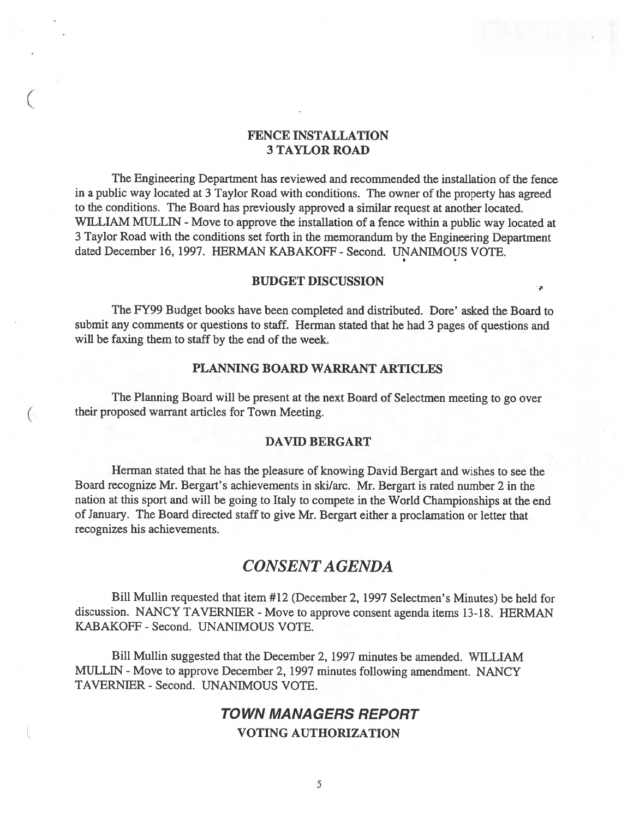## FENCE INSTALLATION 3 TAYLOR ROAD

 $($ 

The Engineering Department has reviewed and recommended the installation of the fence in <sup>a</sup> public way located at 3 Taylor Road with conditions. The owner of the property has agreed to the conditions. The Board has previously approved <sup>a</sup> similar reques<sup>t</sup> at another located. WILLIAM MULLIN - Move to approve the installation of a fence within a public way located at <sup>3</sup> Taylor Road with the conditions set forth in the memorandum by the Engineering Department dated December 16, 1997. HERMAN KABAKOFF - Second. UNANIMOUS VOTE.

## BUDGET DISCUSSION

The FY99 Budget books have been completed and distributed. Dore' asked the Board to submit any comments or questions to staff. Herman stated that he had 3 pages of questions and will be faxing them to staff by the end of the week.

## PLANNING BOARD WARRANT ARTICLES

The Planning Board will be presen<sup>t</sup> at the next Board of Selectmen meeting to go over their proposed warrant articles for Town Meeting.

#### DAVID BERGART

Herman stated that he has the pleasure of knowing David Bergart and wishes to see the Board recognize Mr. Bergart's achievements in ski/arc. Mr. Bergart is rated number <sup>2</sup> in the nation at this spor<sup>t</sup> and will be going to Italy to compete in the World Championships at the end of January. The Board directed staff to <sup>g</sup>ive Mr. Bergart either <sup>a</sup> proclamation or letter that recognizes his achievements.

## CONSENTAGENDA

Bill Mullin requested that item #12 (December 2, 1997 Selectmen's Minutes) be held for discussion. NANCY TAVERNIER - Move to approve consent agenda items 13-18. HERMAN KABAKOFF - Second. UNANIMOUS VOTE.

Bill Mullin suggested that the December 2, 1997 minutes be amended. WILLIAM MULLIN - Move to approve December 2, 1997 minutes following amendment. NANCY TAVERNIER -Second. UNANIMOUS VOTE.

## TOWN MANAGERS REPORT VOTING AUTHORIZATION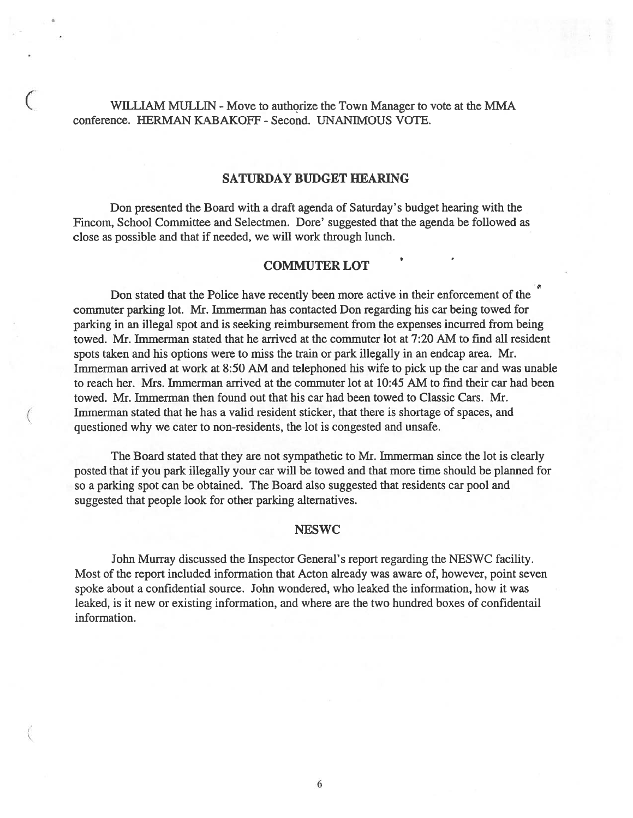WILLIAM MULLIN - Move to authorize the Town Manager to vote at the MMA conference. HERMAN KABAKOFF - Second. UNANIMOUS VOTE.

## SATURDAY BUDGET HEARING

Don presented the Board with <sup>a</sup> draft agenda of Saturday's budget hearing with the Fincom, School Committee and Selectmen. Dore' suggested that the agenda be followed as close as possible and that if needed, we will work through lunch.

## COMMUTER LOT

Don stated that the Police have recently been more active in their enforcement of the commuter parking lot. Mr. Immerman has contacted Don regarding his car being towed for parking in an illegal spo<sup>t</sup> and is seeking reimbursement from the expenses incurred from being towed. Mr. Immerman stated that he arrived at the commuter lot at 7:20 AM to find all resident spots taken and his options were to miss the train or park illegally in an endcap area. Mr. Immerman arrived at work at 8:50 AM and telephoned his wife to pick up the car and was unable to reach her. Mrs. Immerman arrived at the commuter lot at 10:45 AM to find their car had been towed. Mr. Immerman then found out that his car had been towed to Classic Cars. Mr. ( Immerman stated that he has <sup>a</sup> valid resident sticker, that there is shortage of spaces, and questioned why we cater to non-residents, the lot is congested and unsafe.

The Board stated that they are not sympathetic to Mr. Immerman since the lot is clearly posted that if you park illegally your car will be towed and that more time should be planned for so <sup>a</sup> parking spo<sup>t</sup> can be obtained. The Board also suggested that residents car pool and suggested that people look for other parking alternatives.

## NESWC

John Murray discussed the Inspector General's repor<sup>t</sup> regarding the NESWC facility. Most of the repor<sup>t</sup> included information that Acton already was aware of, however, point seven spoke about <sup>a</sup> confidential source. John wondered, who leaked the information, how it was leaked, is it new or existing information, and where are the two hundred boxes of confidentail information.